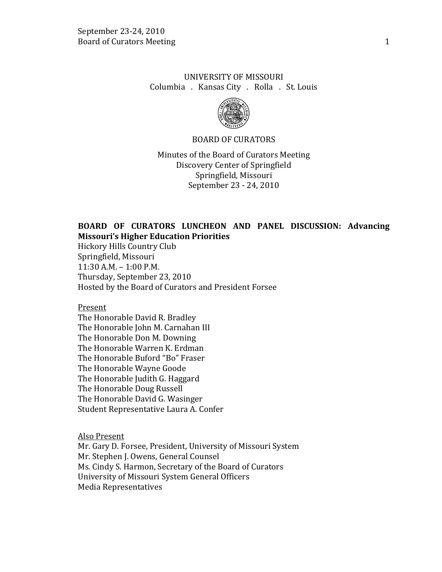# UNIVERSITY OF MISSOURI Columbia . Kansas City . Rolla . St. Louis



#### BOARD OF CURATORS

Minutes of the Board of Curators Meeting Discovery Center of Springfield Springfield, Missouri September 23 - 24, 2010

# **BOARD OF CURATORS LUNCHEON AND PANEL DISCUSSION: Advancing Missouri's Higher Education Priorities**

Hickory Hills Country Club Springfield, Missouri 11:30 A.M. – 1:00 P.M. Thursday, September 23, 2010 Hosted by the Board of Curators and President Forsee

#### Present

The Honorable David R. Bradley The Honorable John M. Carnahan III The Honorable Don M. Downing The Honorable Warren K. Erdman The Honorable Buford "Bo" Fraser The Honorable Wayne Goode The Honorable Judith G. Haggard The Honorable Doug Russell The Honorable David G. Wasinger Student Representative Laura A. Confer

Also Present

Mr. Gary D. Forsee, President, University of Missouri System Mr. Stephen J. Owens, General Counsel Ms. Cindy S. Harmon, Secretary of the Board of Curators University of Missouri System General Officers Media Representatives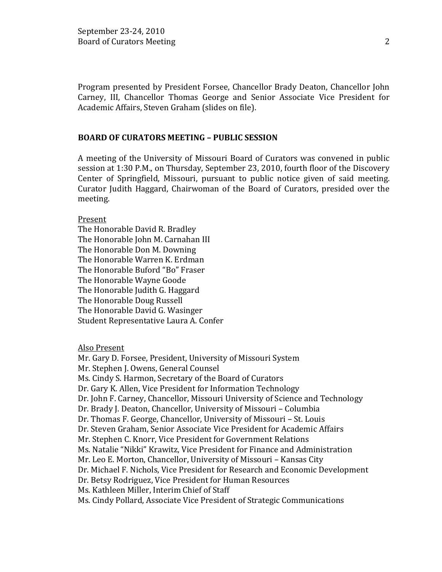Program presented by President Forsee, Chancellor Brady Deaton, Chancellor John Carney, III, Chancellor Thomas George and Senior Associate Vice President for Academic Affairs, Steven Graham (slides on file).

#### **BOARD OF CURATORS MEETING – PUBLIC SESSION**

A meeting of the University of Missouri Board of Curators was convened in public session at 1:30 P.M., on Thursday, September 23, 2010, fourth floor of the Discovery Center of Springfield, Missouri, pursuant to public notice given of said meeting. Curator Judith Haggard, Chairwoman of the Board of Curators, presided over the meeting.

#### Present

The Honorable David R. Bradley The Honorable John M. Carnahan III The Honorable Don M. Downing The Honorable Warren K. Erdman The Honorable Buford "Bo" Fraser The Honorable Wayne Goode The Honorable Judith G. Haggard The Honorable Doug Russell The Honorable David G. Wasinger Student Representative Laura A. Confer

Also Present

Mr. Gary D. Forsee, President, University of Missouri System Mr. Stephen J. Owens, General Counsel Ms. Cindy S. Harmon, Secretary of the Board of Curators Dr. Gary K. Allen, Vice President for Information Technology Dr. John F. Carney, Chancellor, Missouri University of Science and Technology Dr. Brady J. Deaton, Chancellor, University of Missouri – Columbia Dr. Thomas F. George, Chancellor, University of Missouri – St. Louis Dr. Steven Graham, Senior Associate Vice President for Academic Affairs Mr. Stephen C. Knorr, Vice President for Government Relations Ms. Natalie "Nikki" Krawitz, Vice President for Finance and Administration Mr. Leo E. Morton, Chancellor, University of Missouri – Kansas City Dr. Michael F. Nichols, Vice President for Research and Economic Development Dr. Betsy Rodriguez, Vice President for Human Resources Ms. Kathleen Miller, Interim Chief of Staff Ms. Cindy Pollard, Associate Vice President of Strategic Communications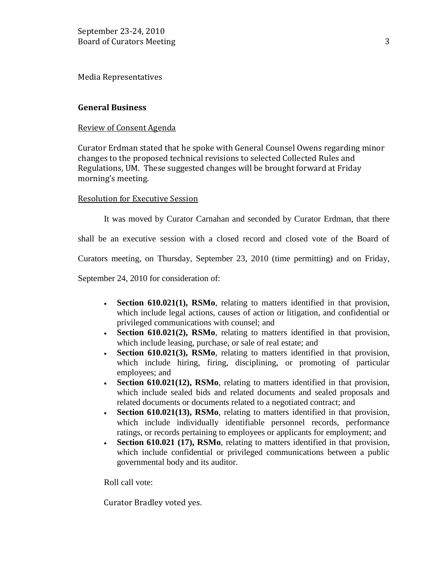Media Representatives

### **General Business**

### Review of Consent Agenda

Curator Erdman stated that he spoke with General Counsel Owens regarding minor changes to the proposed technical revisions to selected Collected Rules and Regulations, UM. These suggested changes will be brought forward at Friday morning's meeting.

#### Resolution for Executive Session

It was moved by Curator Carnahan and seconded by Curator Erdman, that there

shall be an executive session with a closed record and closed vote of the Board of

Curators meeting, on Thursday, September 23, 2010 (time permitting) and on Friday,

September 24, 2010 for consideration of:

- **Section 610.021(1), RSMo**, relating to matters identified in that provision, which include legal actions, causes of action or litigation, and confidential or privileged communications with counsel; and
- **Section 610.021(2), RSMo**, relating to matters identified in that provision, which include leasing, purchase, or sale of real estate; and
- **Section 610.021(3), RSMo**, relating to matters identified in that provision, which include hiring, firing, disciplining, or promoting of particular employees; and
- **Section 610.021(12), RSMo**, relating to matters identified in that provision, which include sealed bids and related documents and sealed proposals and related documents or documents related to a negotiated contract; and
- **Section 610.021(13), RSMo**, relating to matters identified in that provision, which include individually identifiable personnel records, performance ratings, or records pertaining to employees or applicants for employment; and
- **Section 610.021 (17), RSMo**, relating to matters identified in that provision, which include confidential or privileged communications between a public governmental body and its auditor.

Roll call vote:

Curator Bradley voted yes.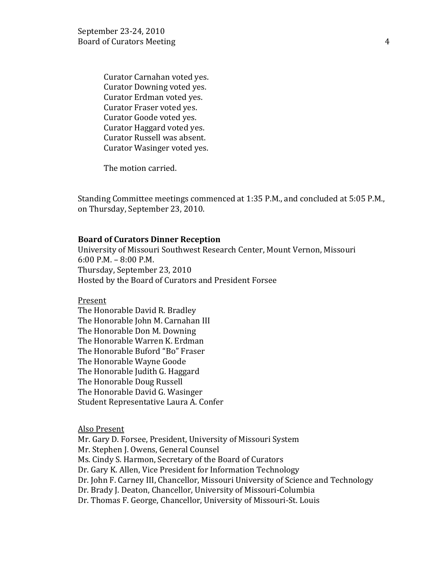Curator Carnahan voted yes. Curator Downing voted yes. Curator Erdman voted yes. Curator Fraser voted yes. Curator Goode voted yes. Curator Haggard voted yes. Curator Russell was absent. Curator Wasinger voted yes.

The motion carried.

Standing Committee meetings commenced at 1:35 P.M., and concluded at 5:05 P.M., on Thursday, September 23, 2010.

#### **Board of Curators Dinner Reception**

University of Missouri Southwest Research Center, Mount Vernon, Missouri 6:00 P.M. – 8:00 P.M. Thursday, September 23, 2010 Hosted by the Board of Curators and President Forsee

Present

The Honorable David R. Bradley The Honorable John M. Carnahan III The Honorable Don M. Downing The Honorable Warren K. Erdman The Honorable Buford "Bo" Fraser The Honorable Wayne Goode The Honorable Judith G. Haggard The Honorable Doug Russell The Honorable David G. Wasinger Student Representative Laura A. Confer

#### Also Present

Mr. Gary D. Forsee, President, University of Missouri System Mr. Stephen J. Owens, General Counsel Ms. Cindy S. Harmon, Secretary of the Board of Curators Dr. Gary K. Allen, Vice President for Information Technology Dr. John F. Carney III, Chancellor, Missouri University of Science and Technology Dr. Brady J. Deaton, Chancellor, University of Missouri-Columbia Dr. Thomas F. George, Chancellor, University of Missouri-St. Louis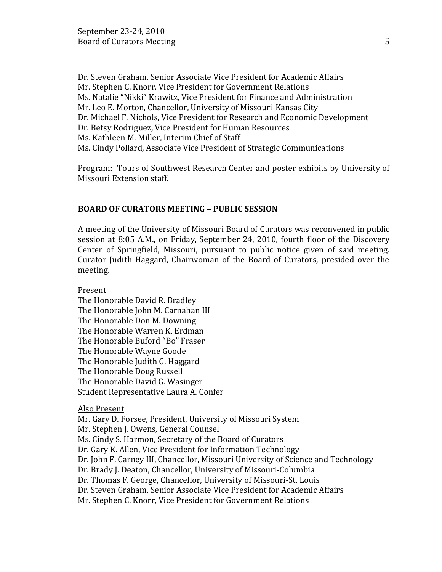Dr. Steven Graham, Senior Associate Vice President for Academic Affairs Mr. Stephen C. Knorr, Vice President for Government Relations Ms. Natalie "Nikki" Krawitz, Vice President for Finance and Administration Mr. Leo E. Morton, Chancellor, University of Missouri-Kansas City Dr. Michael F. Nichols, Vice President for Research and Economic Development Dr. Betsy Rodriguez, Vice President for Human Resources Ms. Kathleen M. Miller, Interim Chief of Staff Ms. Cindy Pollard, Associate Vice President of Strategic Communications

Program: Tours of Southwest Research Center and poster exhibits by University of Missouri Extension staff.

#### **BOARD OF CURATORS MEETING – PUBLIC SESSION**

A meeting of the University of Missouri Board of Curators was reconvened in public session at 8:05 A.M., on Friday, September 24, 2010, fourth floor of the Discovery Center of Springfield, Missouri, pursuant to public notice given of said meeting. Curator Judith Haggard, Chairwoman of the Board of Curators, presided over the meeting.

Present

The Honorable David R. Bradley The Honorable John M. Carnahan III The Honorable Don M. Downing The Honorable Warren K. Erdman The Honorable Buford "Bo" Fraser The Honorable Wayne Goode The Honorable Judith G. Haggard The Honorable Doug Russell The Honorable David G. Wasinger Student Representative Laura A. Confer

### Also Present

Mr. Gary D. Forsee, President, University of Missouri System Mr. Stephen J. Owens, General Counsel Ms. Cindy S. Harmon, Secretary of the Board of Curators Dr. Gary K. Allen, Vice President for Information Technology Dr. John F. Carney III, Chancellor, Missouri University of Science and Technology Dr. Brady J. Deaton, Chancellor, University of Missouri-Columbia Dr. Thomas F. George, Chancellor, University of Missouri-St. Louis Dr. Steven Graham, Senior Associate Vice President for Academic Affairs Mr. Stephen C. Knorr, Vice President for Government Relations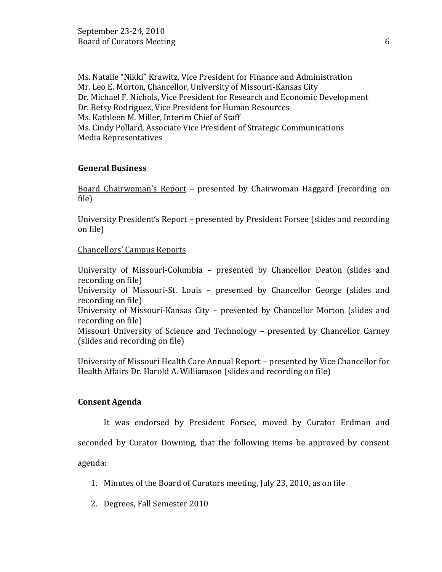Ms. Natalie "Nikki" Krawitz, Vice President for Finance and Administration Mr. Leo E. Morton, Chancellor, University of Missouri-Kansas City Dr. Michael F. Nichols, Vice President for Research and Economic Development Dr. Betsy Rodriguez, Vice President for Human Resources Ms. Kathleen M. Miller, Interim Chief of Staff Ms. Cindy Pollard, Associate Vice President of Strategic Communications Media Representatives

### **General Business**

Board Chairwoman's Report – presented by Chairwoman Haggard (recording on file)

University President's Report – presented by President Forsee (slides and recording on file)

### Chancellors' Campus Reports

University of Missouri-Columbia – presented by Chancellor Deaton (slides and recording on file) University of Missouri-St. Louis – presented by Chancellor George (slides and recording on file) University of Missouri-Kansas City – presented by Chancellor Morton (slides and recording on file) Missouri University of Science and Technology – presented by Chancellor Carney (slides and recording on file)

University of Missouri Health Care Annual Report – presented by Vice Chancellor for Health Affairs Dr. Harold A. Williamson (slides and recording on file)

### **Consent Agenda**

It was endorsed by President Forsee, moved by Curator Erdman and

seconded by Curator Downing, that the following items be approved by consent

agenda:

- 1. Minutes of the Board of Curators meeting, July 23, 2010, as on file
- 2. Degrees, Fall Semester 2010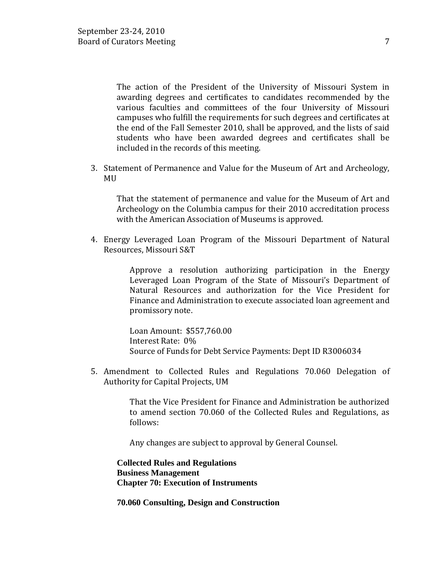The action of the President of the University of Missouri System in awarding degrees and certificates to candidates recommended by the various faculties and committees of the four University of Missouri campuses who fulfill the requirements for such degrees and certificates at the end of the Fall Semester 2010, shall be approved, and the lists of said students who have been awarded degrees and certificates shall be included in the records of this meeting.

3. Statement of Permanence and Value for the Museum of Art and Archeology, MU

That the statement of permanence and value for the Museum of Art and Archeology on the Columbia campus for their 2010 accreditation process with the American Association of Museums is approved.

4. Energy Leveraged Loan Program of the Missouri Department of Natural Resources, Missouri S&T

> Approve a resolution authorizing participation in the Energy Leveraged Loan Program of the State of Missouri's Department of Natural Resources and authorization for the Vice President for Finance and Administration to execute associated loan agreement and promissory note.

Loan Amount: \$557,760.00 Interest Rate: 0% Source of Funds for Debt Service Payments: Dept ID R3006034

5. Amendment to Collected Rules and Regulations 70.060 Delegation of Authority for Capital Projects, UM

> That the Vice President for Finance and Administration be authorized to amend section 70.060 of the Collected Rules and Regulations, as follows:

Any changes are subject to approval by General Counsel.

**Collected Rules and Regulations Business Management Chapter 70: Execution of Instruments**

**70.060 Consulting, Design and Construction**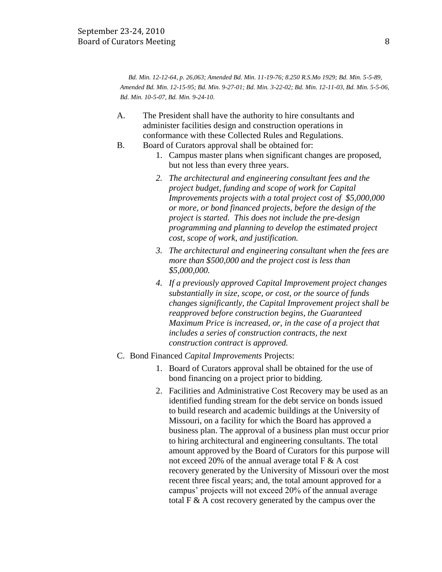*Bd. Min. 12-12-64, p. 26,063; Amended Bd. Min. 11-19-76; 8.250 R.S.Mo 1929; Bd. Min. 5-5-89, Amended Bd. Min. 12-15-95; Bd. Min. 9-27-01; Bd. Min. 3-22-02; Bd. Min. 12-11-03, Bd. Min. 5-5-06, Bd. Min. 10-5-07, Bd. Min. 9-24-10.*

- A. The President shall have the authority to hire consultants and administer facilities design and construction operations in conformance with these Collected Rules and Regulations.
- B. Board of Curators approval shall be obtained for:
	- 1. Campus master plans when significant changes are proposed, but not less than every three years.
	- *2. The architectural and engineering consultant fees and the project budget, funding and scope of work for Capital Improvements projects with a total project cost of \$5,000,000 or more, or bond financed projects, before the design of the project is started. This does not include the pre-design programming and planning to develop the estimated project cost, scope of work, and justification.*
	- *3. The architectural and engineering consultant when the fees are more than \$500,000 and the project cost is less than \$5,000,000.*
	- *4. If a previously approved Capital Improvement project changes substantially in size, scope, or cost, or the source of funds changes significantly, the Capital Improvement project shall be reapproved before construction begins, the Guaranteed Maximum Price is increased, or, in the case of a project that includes a series of construction contracts, the next construction contract is approved.*
- C. Bond Financed *Capital Improvements* Projects:
	- 1. Board of Curators approval shall be obtained for the use of bond financing on a project prior to bidding.
	- 2. Facilities and Administrative Cost Recovery may be used as an identified funding stream for the debt service on bonds issued to build research and academic buildings at the University of Missouri, on a facility for which the Board has approved a business plan. The approval of a business plan must occur prior to hiring architectural and engineering consultants. The total amount approved by the Board of Curators for this purpose will not exceed 20% of the annual average total F & A cost recovery generated by the University of Missouri over the most recent three fiscal years; and, the total amount approved for a campus' projects will not exceed 20% of the annual average total F & A cost recovery generated by the campus over the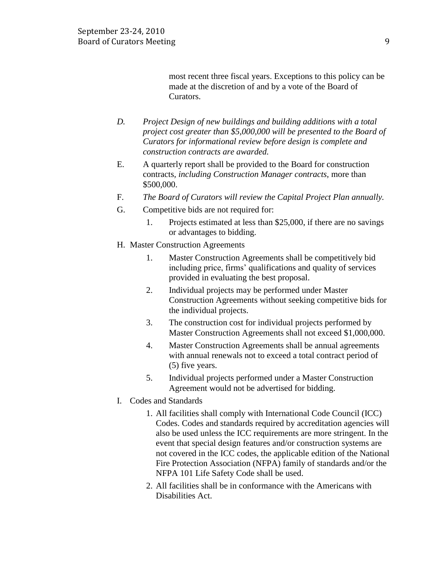most recent three fiscal years. Exceptions to this policy can be made at the discretion of and by a vote of the Board of Curators.

- *D. Project Design of new buildings and building additions with a total project cost greater than \$5,000,000 will be presented to the Board of Curators for informational review before design is complete and construction contracts are awarded.*
- E. A quarterly report shall be provided to the Board for construction contracts*, including Construction Manager contracts,* more than \$500,000.
- F. *The Board of Curators will review the Capital Project Plan annually.*
- G. Competitive bids are not required for:
	- 1. Projects estimated at less than \$25,000, if there are no savings or advantages to bidding.
- H. Master Construction Agreements
	- 1. Master Construction Agreements shall be competitively bid including price, firms' qualifications and quality of services provided in evaluating the best proposal.
	- 2. Individual projects may be performed under Master Construction Agreements without seeking competitive bids for the individual projects.
	- 3. The construction cost for individual projects performed by Master Construction Agreements shall not exceed \$1,000,000.
	- 4. Master Construction Agreements shall be annual agreements with annual renewals not to exceed a total contract period of (5) five years.
	- 5. Individual projects performed under a Master Construction Agreement would not be advertised for bidding.
- I. Codes and Standards
	- 1. All facilities shall comply with International Code Council (ICC) Codes. Codes and standards required by accreditation agencies will also be used unless the ICC requirements are more stringent. In the event that special design features and/or construction systems are not covered in the ICC codes, the applicable edition of the National Fire Protection Association (NFPA) family of standards and/or the NFPA 101 Life Safety Code shall be used.
	- 2. All facilities shall be in conformance with the Americans with Disabilities Act.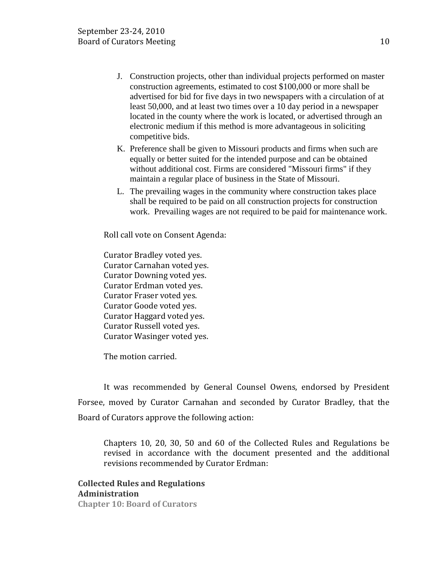- J. Construction projects, other than individual projects performed on master construction agreements, estimated to cost \$100,000 or more shall be advertised for bid for five days in two newspapers with a circulation of at least 50,000, and at least two times over a 10 day period in a newspaper located in the county where the work is located, or advertised through an electronic medium if this method is more advantageous in soliciting competitive bids.
- K. Preference shall be given to Missouri products and firms when such are equally or better suited for the intended purpose and can be obtained without additional cost. Firms are considered "Missouri firms" if they maintain a regular place of business in the State of Missouri.
- L. The prevailing wages in the community where construction takes place shall be required to be paid on all construction projects for construction work. Prevailing wages are not required to be paid for maintenance work.

Roll call vote on Consent Agenda:

Curator Bradley voted yes. Curator Carnahan voted yes. Curator Downing voted yes. Curator Erdman voted yes. Curator Fraser voted yes. Curator Goode voted yes. Curator Haggard voted yes. Curator Russell voted yes. Curator Wasinger voted yes.

The motion carried.

It was recommended by General Counsel Owens, endorsed by President Forsee, moved by Curator Carnahan and seconded by Curator Bradley, that the Board of Curators approve the following action:

Chapters 10, 20, 30, 50 and 60 of the Collected Rules and Regulations be revised in accordance with the document presented and the additional revisions recommended by Curator Erdman:

**Collected Rules and Regulations Administration Chapter 10: Board of Curators**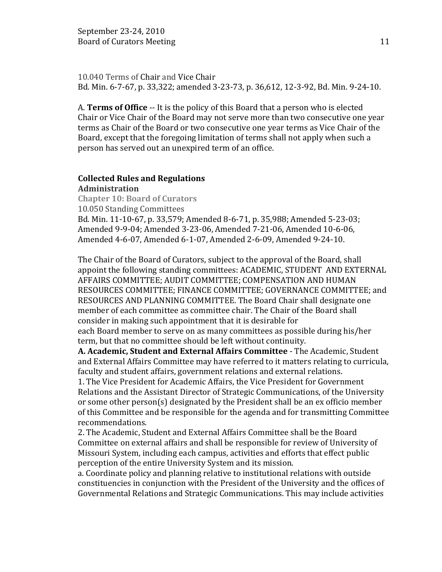10.040 Terms of Chair and Vice Chair Bd. Min. 6-7-67, p. 33,322; amended 3-23-73, p. 36,612, 12-3-92, Bd. Min. 9-24-10.

A. **Terms of Office** -- It is the policy of this Board that a person who is elected Chair or Vice Chair of the Board may not serve more than two consecutive one year terms as Chair of the Board or two consecutive one year terms as Vice Chair of the Board, except that the foregoing limitation of terms shall not apply when such a person has served out an unexpired term of an office.

# **Collected Rules and Regulations**

**Administration Chapter 10: Board of Curators** 10.050 Standing Committees Bd. Min. 11-10-67, p. 33,579; Amended 8-6-71, p. 35,988; Amended 5-23-03; Amended 9-9-04; Amended 3-23-06, Amended 7-21-06, Amended 10-6-06, Amended 4-6-07, Amended 6-1-07, Amended 2-6-09, Amended 9-24-10.

The Chair of the Board of Curators, subject to the approval of the Board, shall appoint the following standing committees: ACADEMIC, STUDENT AND EXTERNAL AFFAIRS COMMITTEE; AUDIT COMMITTEE; COMPENSATION AND HUMAN RESOURCES COMMITTEE; FINANCE COMMITTEE; GOVERNANCE COMMITTEE; and RESOURCES AND PLANNING COMMITTEE. The Board Chair shall designate one member of each committee as committee chair. The Chair of the Board shall consider in making such appointment that it is desirable for each Board member to serve on as many committees as possible during his/her term, but that no committee should be left without continuity.

**A. Academic, Student and External Affairs Committee** - The Academic, Student and External Affairs Committee may have referred to it matters relating to curricula, faculty and student affairs, government relations and external relations.

1. The Vice President for Academic Affairs, the Vice President for Government Relations and the Assistant Director of Strategic Communications, of the University or some other person(s) designated by the President shall be an ex officio member of this Committee and be responsible for the agenda and for transmitting Committee recommendations.

2. The Academic, Student and External Affairs Committee shall be the Board Committee on external affairs and shall be responsible for review of University of Missouri System, including each campus, activities and efforts that effect public perception of the entire University System and its mission.

a. Coordinate policy and planning relative to institutional relations with outside constituencies in conjunction with the President of the University and the offices of Governmental Relations and Strategic Communications. This may include activities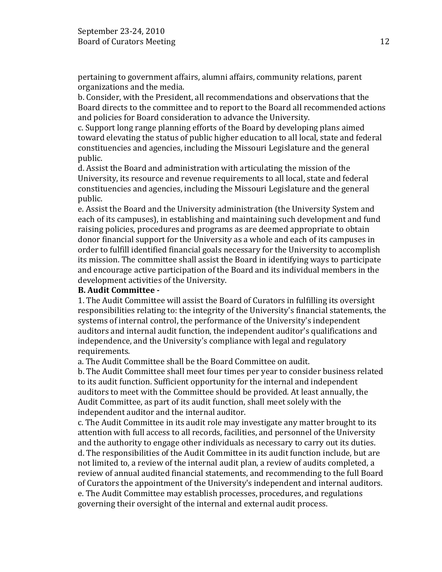pertaining to government affairs, alumni affairs, community relations, parent organizations and the media.

b. Consider, with the President, all recommendations and observations that the Board directs to the committee and to report to the Board all recommended actions and policies for Board consideration to advance the University.

c. Support long range planning efforts of the Board by developing plans aimed toward elevating the status of public higher education to all local, state and federal constituencies and agencies, including the Missouri Legislature and the general public.

d. Assist the Board and administration with articulating the mission of the University, its resource and revenue requirements to all local, state and federal constituencies and agencies, including the Missouri Legislature and the general public.

e. Assist the Board and the University administration (the University System and each of its campuses), in establishing and maintaining such development and fund raising policies, procedures and programs as are deemed appropriate to obtain donor financial support for the University as a whole and each of its campuses in order to fulfill identified financial goals necessary for the University to accomplish its mission. The committee shall assist the Board in identifying ways to participate and encourage active participation of the Board and its individual members in the development activities of the University.

### **B. Audit Committee -**

1. The Audit Committee will assist the Board of Curators in fulfilling its oversight responsibilities relating to: the integrity of the University's financial statements, the systems of internal control, the performance of the University's independent auditors and internal audit function, the independent auditor's qualifications and independence, and the University's compliance with legal and regulatory requirements.

a. The Audit Committee shall be the Board Committee on audit.

b. The Audit Committee shall meet four times per year to consider business related to its audit function. Sufficient opportunity for the internal and independent auditors to meet with the Committee should be provided. At least annually, the Audit Committee, as part of its audit function, shall meet solely with the independent auditor and the internal auditor.

c. The Audit Committee in its audit role may investigate any matter brought to its attention with full access to all records, facilities, and personnel of the University and the authority to engage other individuals as necessary to carry out its duties. d. The responsibilities of the Audit Committee in its audit function include, but are not limited to, a review of the internal audit plan, a review of audits completed, a review of annual audited financial statements, and recommending to the full Board of Curators the appointment of the University's independent and internal auditors. e. The Audit Committee may establish processes, procedures, and regulations governing their oversight of the internal and external audit process.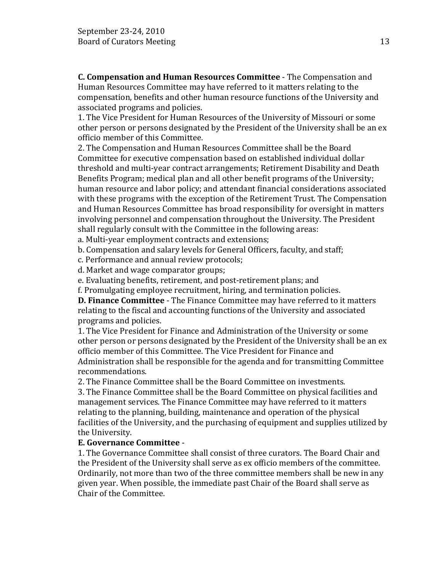**C. Compensation and Human Resources Committee** - The Compensation and Human Resources Committee may have referred to it matters relating to the compensation, benefits and other human resource functions of the University and associated programs and policies.

1. The Vice President for Human Resources of the University of Missouri or some other person or persons designated by the President of the University shall be an ex officio member of this Committee.

2. The Compensation and Human Resources Committee shall be the Board Committee for executive compensation based on established individual dollar threshold and multi-year contract arrangements; Retirement Disability and Death Benefits Program; medical plan and all other benefit programs of the University; human resource and labor policy; and attendant financial considerations associated with these programs with the exception of the Retirement Trust. The Compensation and Human Resources Committee has broad responsibility for oversight in matters involving personnel and compensation throughout the University. The President shall regularly consult with the Committee in the following areas:

a. Multi-year employment contracts and extensions;

b. Compensation and salary levels for General Officers, faculty, and staff;

c. Performance and annual review protocols;

d. Market and wage comparator groups;

e. Evaluating benefits, retirement, and post-retirement plans; and

f. Promulgating employee recruitment, hiring, and termination policies.

**D. Finance Committee** - The Finance Committee may have referred to it matters relating to the fiscal and accounting functions of the University and associated programs and policies.

1. The Vice President for Finance and Administration of the University or some other person or persons designated by the President of the University shall be an ex officio member of this Committee. The Vice President for Finance and Administration shall be responsible for the agenda and for transmitting Committee recommendations.

2. The Finance Committee shall be the Board Committee on investments.

3. The Finance Committee shall be the Board Committee on physical facilities and management services. The Finance Committee may have referred to it matters relating to the planning, building, maintenance and operation of the physical facilities of the University, and the purchasing of equipment and supplies utilized by the University.

### **E. Governance Committee** -

1. The Governance Committee shall consist of three curators. The Board Chair and the President of the University shall serve as ex officio members of the committee. Ordinarily, not more than two of the three committee members shall be new in any given year. When possible, the immediate past Chair of the Board shall serve as Chair of the Committee.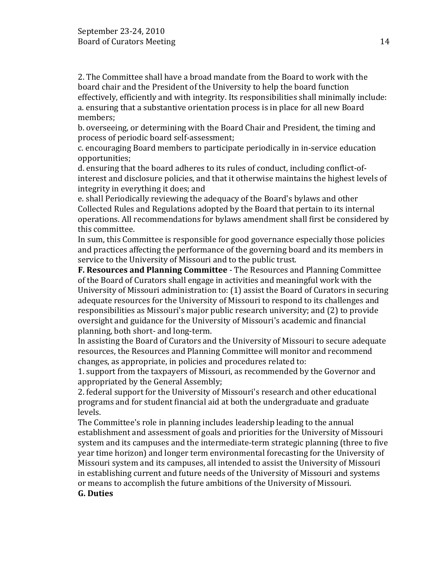2. The Committee shall have a broad mandate from the Board to work with the board chair and the President of the University to help the board function effectively, efficiently and with integrity. Its responsibilities shall minimally include: a. ensuring that a substantive orientation process is in place for all new Board members;

b. overseeing, or determining with the Board Chair and President, the timing and process of periodic board self-assessment;

c. encouraging Board members to participate periodically in in-service education opportunities;

d. ensuring that the board adheres to its rules of conduct, including conflict-ofinterest and disclosure policies, and that it otherwise maintains the highest levels of integrity in everything it does; and

e. shall Periodically reviewing the adequacy of the Board's bylaws and other Collected Rules and Regulations adopted by the Board that pertain to its internal operations. All recommendations for bylaws amendment shall first be considered by this committee.

In sum, this Committee is responsible for good governance especially those policies and practices affecting the performance of the governing board and its members in service to the University of Missouri and to the public trust.

**F. Resources and Planning Committee** - The Resources and Planning Committee of the Board of Curators shall engage in activities and meaningful work with the University of Missouri administration to: (1) assist the Board of Curators in securing adequate resources for the University of Missouri to respond to its challenges and responsibilities as Missouri's major public research university; and (2) to provide oversight and guidance for the University of Missouri's academic and financial planning, both short- and long-term.

In assisting the Board of Curators and the University of Missouri to secure adequate resources, the Resources and Planning Committee will monitor and recommend changes, as appropriate, in policies and procedures related to:

1. support from the taxpayers of Missouri, as recommended by the Governor and appropriated by the General Assembly;

2. federal support for the University of Missouri's research and other educational programs and for student financial aid at both the undergraduate and graduate levels.

The Committee's role in planning includes leadership leading to the annual establishment and assessment of goals and priorities for the University of Missouri system and its campuses and the intermediate-term strategic planning (three to five year time horizon) and longer term environmental forecasting for the University of Missouri system and its campuses, all intended to assist the University of Missouri in establishing current and future needs of the University of Missouri and systems or means to accomplish the future ambitions of the University of Missouri.

# **G. Duties**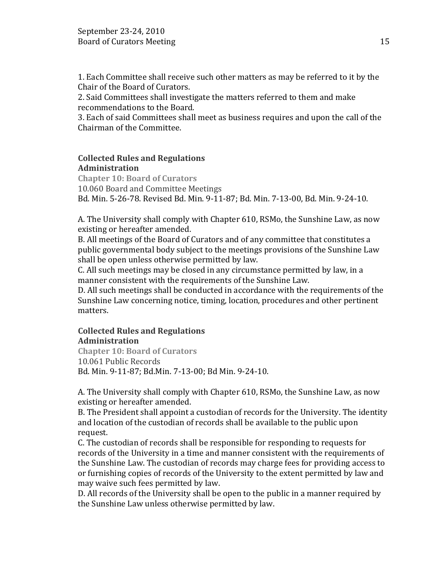1. Each Committee shall receive such other matters as may be referred to it by the Chair of the Board of Curators.

2. Said Committees shall investigate the matters referred to them and make recommendations to the Board.

3. Each of said Committees shall meet as business requires and upon the call of the Chairman of the Committee.

# **Collected Rules and Regulations Administration**

**Chapter 10: Board of Curators** 10.060 Board and Committee Meetings Bd. Min. 5-26-78. Revised Bd. Min. 9-11-87; Bd. Min. 7-13-00, Bd. Min. 9-24-10.

A. The University shall comply with Chapter 610, RSMo, the Sunshine Law, as now existing or hereafter amended.

B. All meetings of the Board of Curators and of any committee that constitutes a public governmental body subject to the meetings provisions of the Sunshine Law shall be open unless otherwise permitted by law.

C. All such meetings may be closed in any circumstance permitted by law, in a manner consistent with the requirements of the Sunshine Law.

D. All such meetings shall be conducted in accordance with the requirements of the Sunshine Law concerning notice, timing, location, procedures and other pertinent matters.

# **Collected Rules and Regulations Administration**

**Chapter 10: Board of Curators** 10.061 Public Records Bd. Min. 9-11-87; Bd.Min. 7-13-00; Bd Min. 9-24-10.

A. The University shall comply with Chapter 610, RSMo, the Sunshine Law, as now existing or hereafter amended.

B. The President shall appoint a custodian of records for the University. The identity and location of the custodian of records shall be available to the public upon request.

C. The custodian of records shall be responsible for responding to requests for records of the University in a time and manner consistent with the requirements of the Sunshine Law. The custodian of records may charge fees for providing access to or furnishing copies of records of the University to the extent permitted by law and may waive such fees permitted by law.

D. All records of the University shall be open to the public in a manner required by the Sunshine Law unless otherwise permitted by law.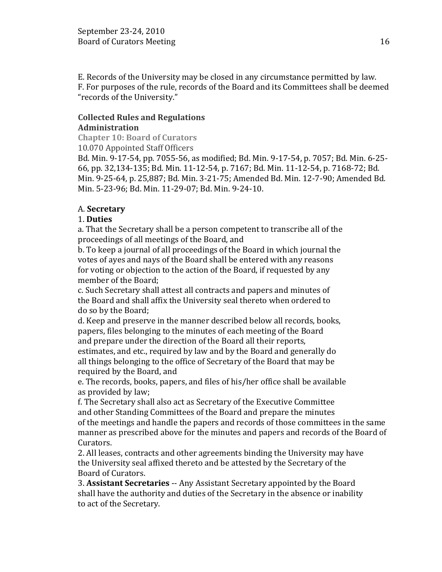E. Records of the University may be closed in any circumstance permitted by law. F. For purposes of the rule, records of the Board and its Committees shall be deemed "records of the University."

# **Collected Rules and Regulations Administration**

**Chapter 10: Board of Curators**

10.070 Appointed Staff Officers

Bd. Min. 9-17-54, pp. 7055-56, as modified; Bd. Min. 9-17-54, p. 7057; Bd. Min. 6-25- 66, pp. 32,134-135; Bd. Min. 11-12-54, p. 7167; Bd. Min. 11-12-54, p. 7168-72; Bd. Min. 9-25-64, p. 25,887; Bd. Min. 3-21-75; Amended Bd. Min. 12-7-90; Amended Bd. Min. 5-23-96; Bd. Min. 11-29-07; Bd. Min. 9-24-10.

# A. **Secretary**

# 1. **Duties**

a. That the Secretary shall be a person competent to transcribe all of the proceedings of all meetings of the Board, and

b. To keep a journal of all proceedings of the Board in which journal the votes of ayes and nays of the Board shall be entered with any reasons for voting or objection to the action of the Board, if requested by any member of the Board;

c. Such Secretary shall attest all contracts and papers and minutes of the Board and shall affix the University seal thereto when ordered to do so by the Board;

d. Keep and preserve in the manner described below all records, books, papers, files belonging to the minutes of each meeting of the Board and prepare under the direction of the Board all their reports, estimates, and etc., required by law and by the Board and generally do all things belonging to the office of Secretary of the Board that may be

required by the Board, and

e. The records, books, papers, and files of his/her office shall be available as provided by law;

f. The Secretary shall also act as Secretary of the Executive Committee and other Standing Committees of the Board and prepare the minutes of the meetings and handle the papers and records of those committees in the same manner as prescribed above for the minutes and papers and records of the Board of Curators.

2. All leases, contracts and other agreements binding the University may have the University seal affixed thereto and be attested by the Secretary of the Board of Curators.

3. **Assistant Secretaries** -- Any Assistant Secretary appointed by the Board shall have the authority and duties of the Secretary in the absence or inability to act of the Secretary.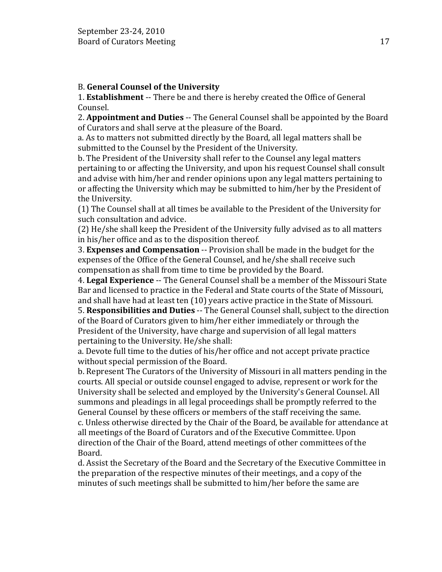# B. **General Counsel of the University**

1. **Establishment** -- There be and there is hereby created the Office of General Counsel.

2. **Appointment and Duties** -- The General Counsel shall be appointed by the Board of Curators and shall serve at the pleasure of the Board.

a. As to matters not submitted directly by the Board, all legal matters shall be submitted to the Counsel by the President of the University.

b. The President of the University shall refer to the Counsel any legal matters pertaining to or affecting the University, and upon his request Counsel shall consult and advise with him/her and render opinions upon any legal matters pertaining to or affecting the University which may be submitted to him/her by the President of the University.

(1) The Counsel shall at all times be available to the President of the University for such consultation and advice.

(2) He/she shall keep the President of the University fully advised as to all matters in his/her office and as to the disposition thereof.

3. **Expenses and Compensation** -- Provision shall be made in the budget for the expenses of the Office of the General Counsel, and he/she shall receive such compensation as shall from time to time be provided by the Board.

4. **Legal Experience** -- The General Counsel shall be a member of the Missouri State Bar and licensed to practice in the Federal and State courts of the State of Missouri, and shall have had at least ten (10) years active practice in the State of Missouri.

5. **Responsibilities and Duties** -- The General Counsel shall, subject to the direction of the Board of Curators given to him/her either immediately or through the President of the University, have charge and supervision of all legal matters pertaining to the University. He/she shall:

a. Devote full time to the duties of his/her office and not accept private practice without special permission of the Board.

b. Represent The Curators of the University of Missouri in all matters pending in the courts. All special or outside counsel engaged to advise, represent or work for the University shall be selected and employed by the University's General Counsel. All summons and pleadings in all legal proceedings shall be promptly referred to the General Counsel by these officers or members of the staff receiving the same. c. Unless otherwise directed by the Chair of the Board, be available for attendance at all meetings of the Board of Curators and of the Executive Committee. Upon direction of the Chair of the Board, attend meetings of other committees of the Board.

d. Assist the Secretary of the Board and the Secretary of the Executive Committee in the preparation of the respective minutes of their meetings, and a copy of the minutes of such meetings shall be submitted to him/her before the same are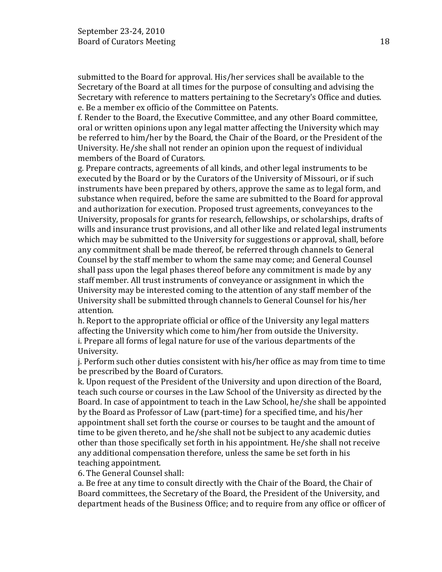submitted to the Board for approval. His/her services shall be available to the Secretary of the Board at all times for the purpose of consulting and advising the Secretary with reference to matters pertaining to the Secretary's Office and duties. e. Be a member ex officio of the Committee on Patents.

f. Render to the Board, the Executive Committee, and any other Board committee, oral or written opinions upon any legal matter affecting the University which may be referred to him/her by the Board, the Chair of the Board, or the President of the University. He/she shall not render an opinion upon the request of individual members of the Board of Curators.

g. Prepare contracts, agreements of all kinds, and other legal instruments to be executed by the Board or by the Curators of the University of Missouri, or if such instruments have been prepared by others, approve the same as to legal form, and substance when required, before the same are submitted to the Board for approval and authorization for execution. Proposed trust agreements, conveyances to the University, proposals for grants for research, fellowships, or scholarships, drafts of wills and insurance trust provisions, and all other like and related legal instruments which may be submitted to the University for suggestions or approval, shall, before any commitment shall be made thereof, be referred through channels to General Counsel by the staff member to whom the same may come; and General Counsel shall pass upon the legal phases thereof before any commitment is made by any staff member. All trust instruments of conveyance or assignment in which the University may be interested coming to the attention of any staff member of the University shall be submitted through channels to General Counsel for his/her attention.

h. Report to the appropriate official or office of the University any legal matters affecting the University which come to him/her from outside the University. i. Prepare all forms of legal nature for use of the various departments of the University.

j. Perform such other duties consistent with his/her office as may from time to time be prescribed by the Board of Curators.

k. Upon request of the President of the University and upon direction of the Board, teach such course or courses in the Law School of the University as directed by the Board. In case of appointment to teach in the Law School, he/she shall be appointed by the Board as Professor of Law (part-time) for a specified time, and his/her appointment shall set forth the course or courses to be taught and the amount of time to be given thereto, and he/she shall not be subject to any academic duties other than those specifically set forth in his appointment. He/she shall not receive any additional compensation therefore, unless the same be set forth in his teaching appointment.

6. The General Counsel shall:

a. Be free at any time to consult directly with the Chair of the Board, the Chair of Board committees, the Secretary of the Board, the President of the University, and department heads of the Business Office; and to require from any office or officer of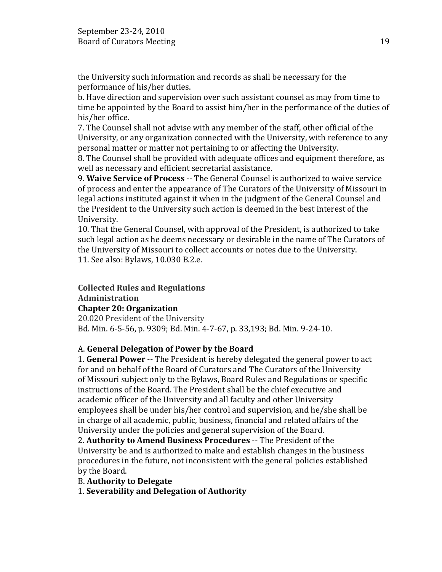the University such information and records as shall be necessary for the performance of his/her duties.

b. Have direction and supervision over such assistant counsel as may from time to time be appointed by the Board to assist him/her in the performance of the duties of his/her office.

7. The Counsel shall not advise with any member of the staff, other official of the University, or any organization connected with the University, with reference to any personal matter or matter not pertaining to or affecting the University.

8. The Counsel shall be provided with adequate offices and equipment therefore, as well as necessary and efficient secretarial assistance.

9. **Waive Service of Process** -- The General Counsel is authorized to waive service of process and enter the appearance of The Curators of the University of Missouri in legal actions instituted against it when in the judgment of the General Counsel and the President to the University such action is deemed in the best interest of the University.

10. That the General Counsel, with approval of the President, is authorized to take such legal action as he deems necessary or desirable in the name of The Curators of the University of Missouri to collect accounts or notes due to the University. 11. See also: Bylaws, 10.030 B.2.e.

**Collected Rules and Regulations Administration**

# **Chapter 20: Organization**

20.020 President of the University Bd. Min. 6-5-56, p. 9309; Bd. Min. 4-7-67, p. 33,193; Bd. Min. 9-24-10.

# A. **General Delegation of Power by the Board**

1. **General Power** -- The President is hereby delegated the general power to act for and on behalf of the Board of Curators and The Curators of the University of Missouri subject only to the Bylaws, Board Rules and Regulations or specific instructions of the Board. The President shall be the chief executive and academic officer of the University and all faculty and other University employees shall be under his/her control and supervision, and he/she shall be in charge of all academic, public, business, financial and related affairs of the University under the policies and general supervision of the Board.

2. **Authority to Amend Business Procedures** -- The President of the University be and is authorized to make and establish changes in the business procedures in the future, not inconsistent with the general policies established by the Board.

# B. **Authority to Delegate**

1. **Severability and Delegation of Authority**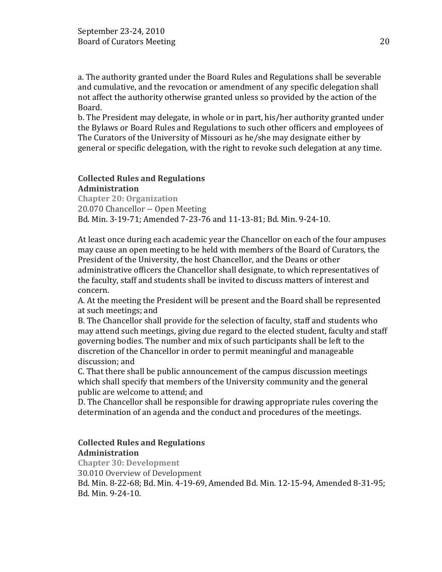a. The authority granted under the Board Rules and Regulations shall be severable and cumulative, and the revocation or amendment of any specific delegation shall not affect the authority otherwise granted unless so provided by the action of the Board.

b. The President may delegate, in whole or in part, his/her authority granted under the Bylaws or Board Rules and Regulations to such other officers and employees of The Curators of the University of Missouri as he/she may designate either by general or specific delegation, with the right to revoke such delegation at any time.

#### **Collected Rules and Regulations Administration**

**Chapter 20: Organization** 20.070 Chancellor -- Open Meeting Bd. Min. 3-19-71; Amended 7-23-76 and 11-13-81; Bd. Min. 9-24-10.

At least once during each academic year the Chancellor on each of the four ampuses may cause an open meeting to be held with members of the Board of Curators, the President of the University, the host Chancellor, and the Deans or other administrative officers the Chancellor shall designate, to which representatives of the faculty, staff and students shall be invited to discuss matters of interest and concern.

A. At the meeting the President will be present and the Board shall be represented at such meetings; and

B. The Chancellor shall provide for the selection of faculty, staff and students who may attend such meetings, giving due regard to the elected student, faculty and staff governing bodies. The number and mix of such participants shall be left to the discretion of the Chancellor in order to permit meaningful and manageable discussion; and

C. That there shall be public announcement of the campus discussion meetings which shall specify that members of the University community and the general public are welcome to attend; and

D. The Chancellor shall be responsible for drawing appropriate rules covering the determination of an agenda and the conduct and procedures of the meetings.

# **Collected Rules and Regulations Administration**

**Chapter 30: Development** 30.010 Overview of Development Bd. Min. 8-22-68; Bd. Min. 4-19-69, Amended Bd. Min. 12-15-94, Amended 8-31-95; Bd. Min. 9-24-10.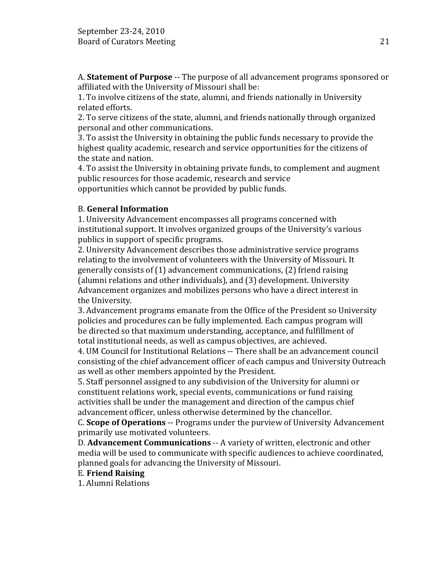A. **Statement of Purpose** -- The purpose of all advancement programs sponsored or affiliated with the University of Missouri shall be:

1. To involve citizens of the state, alumni, and friends nationally in University related efforts.

2. To serve citizens of the state, alumni, and friends nationally through organized personal and other communications.

3. To assist the University in obtaining the public funds necessary to provide the highest quality academic, research and service opportunities for the citizens of the state and nation.

4. To assist the University in obtaining private funds, to complement and augment public resources for those academic, research and service opportunities which cannot be provided by public funds.

# B. **General Information**

1. University Advancement encompasses all programs concerned with institutional support. It involves organized groups of the University's various publics in support of specific programs.

2. University Advancement describes those administrative service programs relating to the involvement of volunteers with the University of Missouri. It generally consists of (1) advancement communications, (2) friend raising (alumni relations and other individuals), and (3) development. University Advancement organizes and mobilizes persons who have a direct interest in the University.

3. Advancement programs emanate from the Office of the President so University policies and procedures can be fully implemented. Each campus program will be directed so that maximum understanding, acceptance, and fulfillment of total institutional needs, as well as campus objectives, are achieved.

4. UM Council for Institutional Relations -- There shall be an advancement council consisting of the chief advancement officer of each campus and University Outreach as well as other members appointed by the President.

5. Staff personnel assigned to any subdivision of the University for alumni or constituent relations work, special events, communications or fund raising activities shall be under the management and direction of the campus chief advancement officer, unless otherwise determined by the chancellor.

C. **Scope of Operations** -- Programs under the purview of University Advancement primarily use motivated volunteers.

D. **Advancement Communications** -- A variety of written, electronic and other media will be used to communicate with specific audiences to achieve coordinated, planned goals for advancing the University of Missouri.

# E. **Friend Raising**

1. Alumni Relations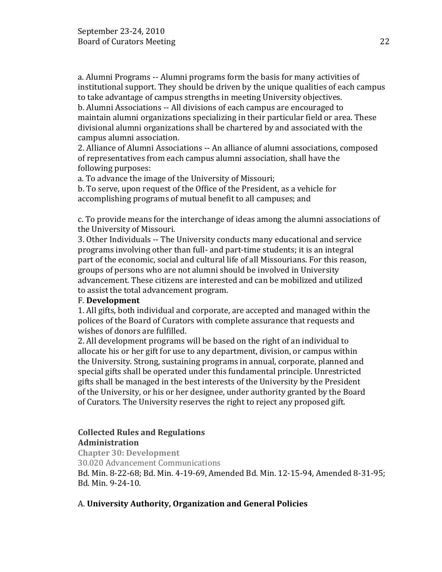a. Alumni Programs -- Alumni programs form the basis for many activities of institutional support. They should be driven by the unique qualities of each campus to take advantage of campus strengths in meeting University objectives.

b. Alumni Associations -- All divisions of each campus are encouraged to maintain alumni organizations specializing in their particular field or area. These divisional alumni organizations shall be chartered by and associated with the campus alumni association.

2. Alliance of Alumni Associations -- An alliance of alumni associations, composed of representatives from each campus alumni association, shall have the following purposes:

a. To advance the image of the University of Missouri;

b. To serve, upon request of the Office of the President, as a vehicle for accomplishing programs of mutual benefit to all campuses; and

c. To provide means for the interchange of ideas among the alumni associations of the University of Missouri.

3. Other Individuals -- The University conducts many educational and service programs involving other than full- and part-time students; it is an integral part of the economic, social and cultural life of all Missourians. For this reason, groups of persons who are not alumni should be involved in University advancement. These citizens are interested and can be mobilized and utilized to assist the total advancement program.

# F. **Development**

1. All gifts, both individual and corporate, are accepted and managed within the polices of the Board of Curators with complete assurance that requests and wishes of donors are fulfilled.

2. All development programs will be based on the right of an individual to allocate his or her gift for use to any department, division, or campus within the University. Strong, sustaining programs in annual, corporate, planned and special gifts shall be operated under this fundamental principle. Unrestricted gifts shall be managed in the best interests of the University by the President of the University, or his or her designee, under authority granted by the Board of Curators. The University reserves the right to reject any proposed gift.

# **Collected Rules and Regulations Administration**

**Chapter 30: Development** 30.020 Advancement Communications Bd. Min. 8-22-68; Bd. Min. 4-19-69, Amended Bd. Min. 12-15-94, Amended 8-31-95; Bd. Min. 9-24-10.

# A. **University Authority, Organization and General Policies**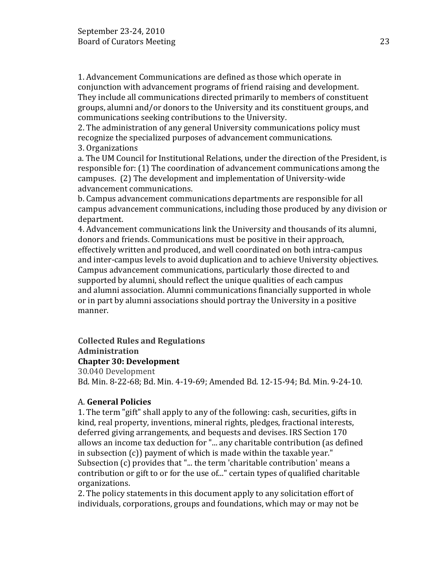1. Advancement Communications are defined as those which operate in conjunction with advancement programs of friend raising and development. They include all communications directed primarily to members of constituent groups, alumni and/or donors to the University and its constituent groups, and communications seeking contributions to the University.

2. The administration of any general University communications policy must recognize the specialized purposes of advancement communications.

3. Organizations

a. The UM Council for Institutional Relations, under the direction of the President, is responsible for: (1) The coordination of advancement communications among the campuses. (2) The development and implementation of University-wide advancement communications.

b. Campus advancement communications departments are responsible for all campus advancement communications, including those produced by any division or department.

4. Advancement communications link the University and thousands of its alumni, donors and friends. Communications must be positive in their approach, effectively written and produced, and well coordinated on both intra-campus and inter-campus levels to avoid duplication and to achieve University objectives. Campus advancement communications, particularly those directed to and supported by alumni, should reflect the unique qualities of each campus and alumni association. Alumni communications financially supported in whole or in part by alumni associations should portray the University in a positive manner.

# **Collected Rules and Regulations**

# **Administration**

# **Chapter 30: Development**

30.040 Development Bd. Min. 8-22-68; Bd. Min. 4-19-69; Amended Bd. 12-15-94; Bd. Min. 9-24-10.

# A. **General Policies**

1. The term "gift" shall apply to any of the following: cash, securities, gifts in kind, real property, inventions, mineral rights, pledges, fractional interests, deferred giving arrangements, and bequests and devises. IRS Section 170 allows an income tax deduction for "... any charitable contribution (as defined in subsection (c)) payment of which is made within the taxable year." Subsection (c) provides that "... the term 'charitable contribution' means a contribution or gift to or for the use of..." certain types of qualified charitable organizations.

2. The policy statements in this document apply to any solicitation effort of individuals, corporations, groups and foundations, which may or may not be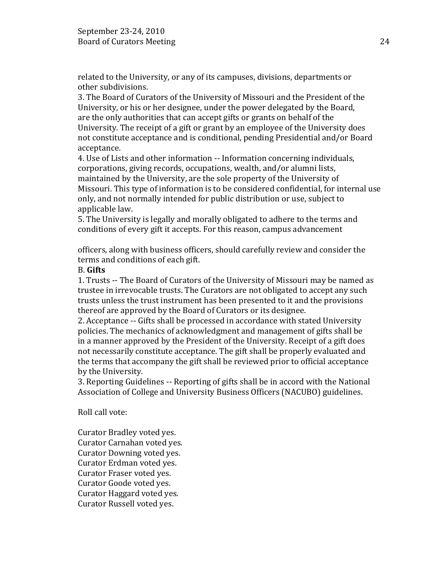related to the University, or any of its campuses, divisions, departments or other subdivisions.

3. The Board of Curators of the University of Missouri and the President of the University, or his or her designee, under the power delegated by the Board, are the only authorities that can accept gifts or grants on behalf of the University. The receipt of a gift or grant by an employee of the University does not constitute acceptance and is conditional, pending Presidential and/or Board acceptance.

4. Use of Lists and other information -- Information concerning individuals, corporations, giving records, occupations, wealth, and/or alumni lists, maintained by the University, are the sole property of the University of Missouri. This type of information is to be considered confidential, for internal use only, and not normally intended for public distribution or use, subject to applicable law.

5. The University is legally and morally obligated to adhere to the terms and conditions of every gift it accepts. For this reason, campus advancement

officers, along with business officers, should carefully review and consider the terms and conditions of each gift.

### B. **Gifts**

1. Trusts -- The Board of Curators of the University of Missouri may be named as trustee in irrevocable trusts. The Curators are not obligated to accept any such trusts unless the trust instrument has been presented to it and the provisions thereof are approved by the Board of Curators or its designee.

2. Acceptance -- Gifts shall be processed in accordance with stated University policies. The mechanics of acknowledgment and management of gifts shall be in a manner approved by the President of the University. Receipt of a gift does not necessarily constitute acceptance. The gift shall be properly evaluated and the terms that accompany the gift shall be reviewed prior to official acceptance by the University.

3. Reporting Guidelines -- Reporting of gifts shall be in accord with the National Association of College and University Business Officers (NACUBO) guidelines.

Roll call vote:

Curator Bradley voted yes. Curator Carnahan voted yes. Curator Downing voted yes. Curator Erdman voted yes. Curator Fraser voted yes. Curator Goode voted yes. Curator Haggard voted yes. Curator Russell voted yes.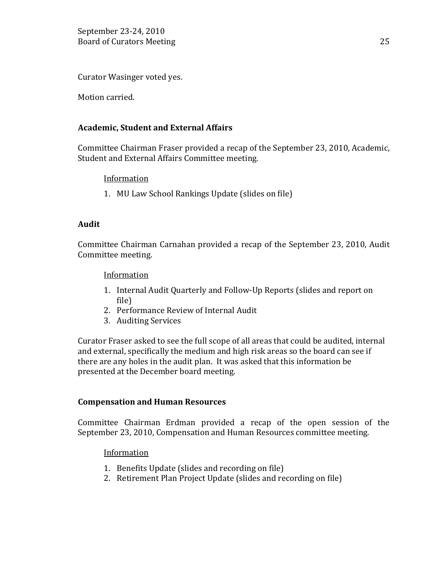Curator Wasinger voted yes.

Motion carried.

# **Academic, Student and External Affairs**

Committee Chairman Fraser provided a recap of the September 23, 2010, Academic, Student and External Affairs Committee meeting.

### **Information**

1. MU Law School Rankings Update (slides on file)

### **Audit**

Committee Chairman Carnahan provided a recap of the September 23, 2010, Audit Committee meeting.

### Information

- 1. Internal Audit Quarterly and Follow-Up Reports (slides and report on file)
- 2. Performance Review of Internal Audit
- 3. Auditing Services

Curator Fraser asked to see the full scope of all areas that could be audited, internal and external, specifically the medium and high risk areas so the board can see if there are any holes in the audit plan. It was asked that this information be presented at the December board meeting.

### **Compensation and Human Resources**

Committee Chairman Erdman provided a recap of the open session of the September 23, 2010, Compensation and Human Resources committee meeting.

# Information

- 1. Benefits Update (slides and recording on file)
- 2. Retirement Plan Project Update (slides and recording on file)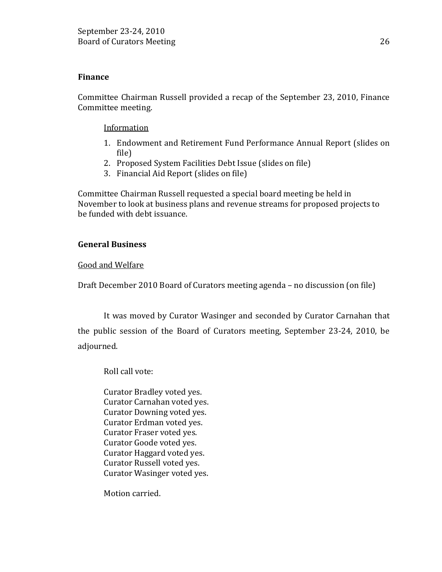### **Finance**

Committee Chairman Russell provided a recap of the September 23, 2010, Finance Committee meeting.

Information

- 1. Endowment and Retirement Fund Performance Annual Report (slides on file)
- 2. Proposed System Facilities Debt Issue (slides on file)
- 3. Financial Aid Report (slides on file)

Committee Chairman Russell requested a special board meeting be held in November to look at business plans and revenue streams for proposed projects to be funded with debt issuance.

### **General Business**

### Good and Welfare

Draft December 2010 Board of Curators meeting agenda – no discussion (on file)

It was moved by Curator Wasinger and seconded by Curator Carnahan that the public session of the Board of Curators meeting, September 23-24, 2010, be adjourned.

Roll call vote:

Curator Bradley voted yes. Curator Carnahan voted yes. Curator Downing voted yes. Curator Erdman voted yes. Curator Fraser voted yes. Curator Goode voted yes. Curator Haggard voted yes. Curator Russell voted yes. Curator Wasinger voted yes.

Motion carried.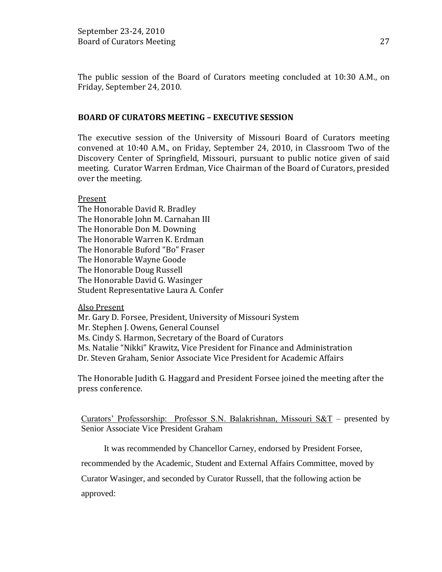The public session of the Board of Curators meeting concluded at 10:30 A.M., on Friday, September 24, 2010.

### **BOARD OF CURATORS MEETING – EXECUTIVE SESSION**

The executive session of the University of Missouri Board of Curators meeting convened at 10:40 A.M., on Friday, September 24, 2010, in Classroom Two of the Discovery Center of Springfield, Missouri, pursuant to public notice given of said meeting. Curator Warren Erdman, Vice Chairman of the Board of Curators, presided over the meeting.

Present

The Honorable David R. Bradley The Honorable John M. Carnahan III The Honorable Don M. Downing The Honorable Warren K. Erdman The Honorable Buford "Bo" Fraser The Honorable Wayne Goode The Honorable Doug Russell The Honorable David G. Wasinger Student Representative Laura A. Confer

#### Also Present

Mr. Gary D. Forsee, President, University of Missouri System Mr. Stephen J. Owens, General Counsel Ms. Cindy S. Harmon, Secretary of the Board of Curators Ms. Natalie "Nikki" Krawitz, Vice President for Finance and Administration Dr. Steven Graham, Senior Associate Vice President for Academic Affairs

The Honorable Judith G. Haggard and President Forsee joined the meeting after the press conference.

Curators' Professorship: Professor S.N. Balakrishnan, Missouri S&T – presented by Senior Associate Vice President Graham

It was recommended by Chancellor Carney, endorsed by President Forsee,

recommended by the Academic, Student and External Affairs Committee, moved by

Curator Wasinger, and seconded by Curator Russell, that the following action be

approved: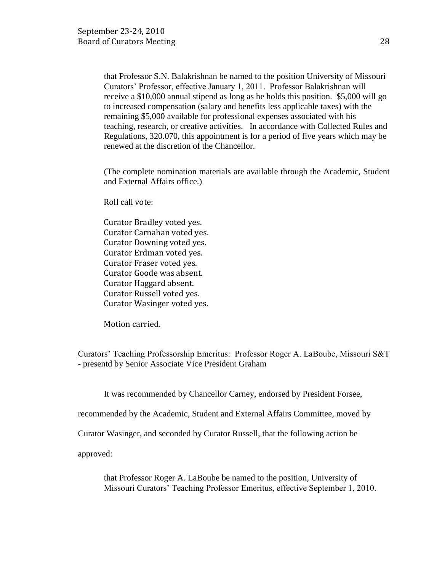that Professor S.N. Balakrishnan be named to the position University of Missouri Curators' Professor, effective January 1, 2011. Professor Balakrishnan will receive a \$10,000 annual stipend as long as he holds this position. \$5,000 will go to increased compensation (salary and benefits less applicable taxes) with the remaining \$5,000 available for professional expenses associated with his teaching, research, or creative activities. In accordance with Collected Rules and Regulations, 320.070, this appointment is for a period of five years which may be renewed at the discretion of the Chancellor.

(The complete nomination materials are available through the Academic, Student and External Affairs office.)

Roll call vote:

Curator Bradley voted yes. Curator Carnahan voted yes. Curator Downing voted yes. Curator Erdman voted yes. Curator Fraser voted yes. Curator Goode was absent. Curator Haggard absent. Curator Russell voted yes. Curator Wasinger voted yes.

Motion carried.

Curators' Teaching Professorship Emeritus: Professor Roger A. LaBoube, Missouri S&T - presentd by Senior Associate Vice President Graham

It was recommended by Chancellor Carney, endorsed by President Forsee,

recommended by the Academic, Student and External Affairs Committee, moved by

Curator Wasinger, and seconded by Curator Russell, that the following action be

approved:

that Professor Roger A. LaBoube be named to the position, University of Missouri Curators' Teaching Professor Emeritus, effective September 1, 2010.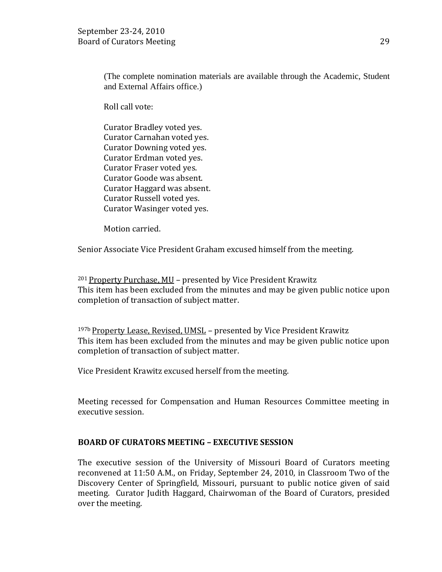(The complete nomination materials are available through the Academic, Student and External Affairs office.)

Roll call vote:

Curator Bradley voted yes. Curator Carnahan voted yes. Curator Downing voted yes. Curator Erdman voted yes. Curator Fraser voted yes. Curator Goode was absent. Curator Haggard was absent. Curator Russell voted yes. Curator Wasinger voted yes.

Motion carried.

Senior Associate Vice President Graham excused himself from the meeting.

<sup>201</sup> Property Purchase, MU – presented by Vice President Krawitz This item has been excluded from the minutes and may be given public notice upon completion of transaction of subject matter.

<sup>197b</sup> Property Lease, Revised, UMSL - presented by Vice President Krawitz This item has been excluded from the minutes and may be given public notice upon completion of transaction of subject matter.

Vice President Krawitz excused herself from the meeting.

Meeting recessed for Compensation and Human Resources Committee meeting in executive session.

# **BOARD OF CURATORS MEETING – EXECUTIVE SESSION**

The executive session of the University of Missouri Board of Curators meeting reconvened at 11:50 A.M., on Friday, September 24, 2010, in Classroom Two of the Discovery Center of Springfield, Missouri, pursuant to public notice given of said meeting. Curator Judith Haggard, Chairwoman of the Board of Curators, presided over the meeting.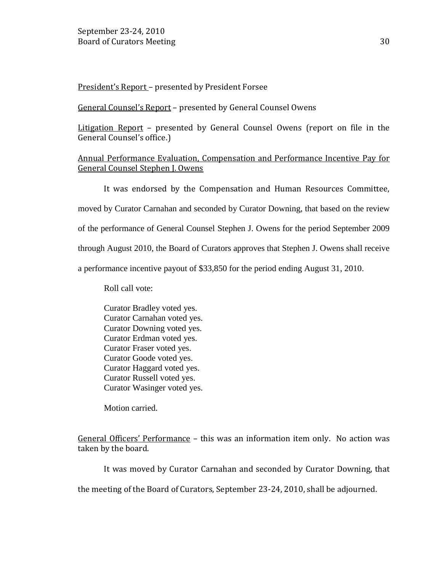President's Report – presented by President Forsee

General Counsel's Report – presented by General Counsel Owens

Litigation Report – presented by General Counsel Owens (report on file in the General Counsel's office.)

# Annual Performance Evaluation, Compensation and Performance Incentive Pay for General Counsel Stephen J. Owens

It was endorsed by the Compensation and Human Resources Committee, moved by Curator Carnahan and seconded by Curator Downing, that based on the review of the performance of General Counsel Stephen J. Owens for the period September 2009 through August 2010, the Board of Curators approves that Stephen J. Owens shall receive a performance incentive payout of \$33,850 for the period ending August 31, 2010.

Roll call vote:

Curator Bradley voted yes. Curator Carnahan voted yes. Curator Downing voted yes. Curator Erdman voted yes. Curator Fraser voted yes. Curator Goode voted yes. Curator Haggard voted yes. Curator Russell voted yes. Curator Wasinger voted yes.

Motion carried.

General Officers' Performance – this was an information item only. No action was taken by the board.

It was moved by Curator Carnahan and seconded by Curator Downing, that

the meeting of the Board of Curators, September 23-24, 2010, shall be adjourned.